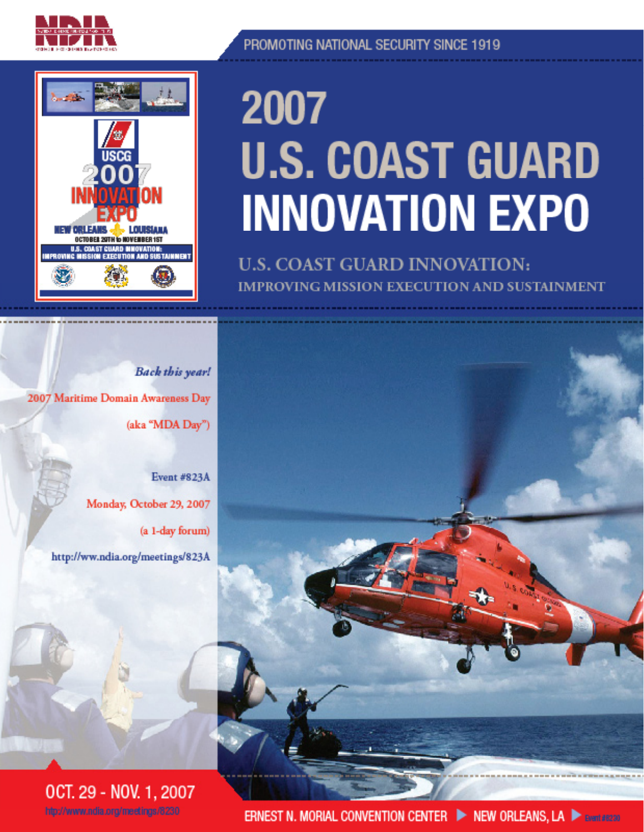



### PROMOTING NATIONAL SECURITY SINCE 1919

# 2007 **U.S. COAST GUARD INNOVATION EXPO**

**U.S. COAST GUARD INNOVATION: IMPROVING MISSION EXECUTION AND SUSTAINMENT** 

**Back this year!** 2007 Maritime Domain Awareness Day (aka "MDA Day")

> **Event #823A** Monday, October 29, 2007 (a 1-day forum) http://ww.ndia.org/meetings/823A





**ERNEST N. MORIAL CONVENTION CENTER ID NEW ORLEANS, LA DE SYSTEMS**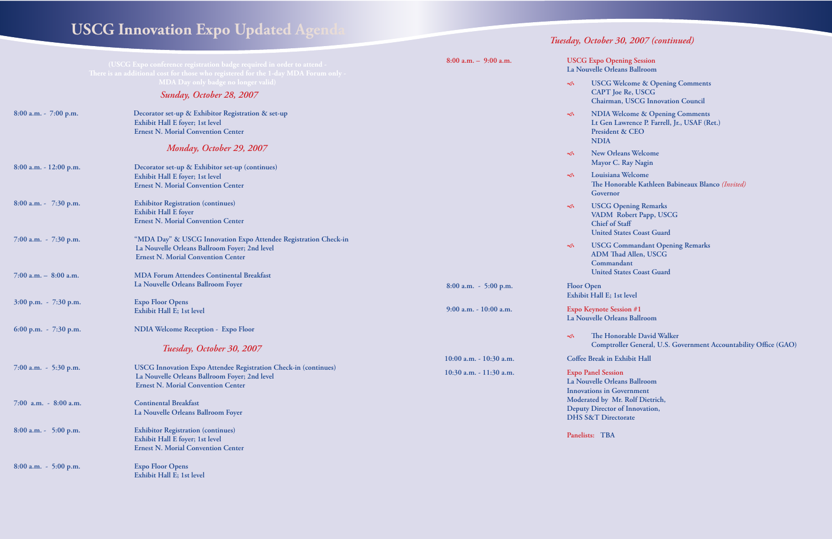*All session times, topics, and speakers subject to change*

*Welcome & Opening Comments* **n Lawrence P. Farrell, Jr., USAF (Ret.) Press & CEO** 

**Drleans Welcome** r C. Ray Nagin

 **Louisiana Welcome The Honorable Kathleen Babineaux Blanco** *(Invited)* **Final** 

**E** Opening Remarks  $M$  Robert Papp, USCG **of Staff L** States Coast Guard

**Commandant Opening Remarks** Thad Allen, USCG **Commandant United States Coast Guard** 

**1st level** 

**Session #1 rleans Ballroom** 

**Lonorable David Walker Example France General, U.S. Government Accountability Office (GAO)** 

**10. Exhibit Hall** 

**Prleans Ballroom IGovernment Mr. Rolf Dietrich, Director of Innovation, rectorate** 

### *Sunday, October 28, 2007* **USCG Innovation Expo Updated Agenda** Tuesday, October 30, 2007 (continued)

|                           | (USCG Expo conference registration badge required in order to attend -<br>There is an additional cost for those who registered for the 1-day MDA Forum only -        | $8:00$ a.m. $-$ 9:00 a.m.                          | <b>USCG Expo Open</b><br>La Nouvelle Orlear                                                         |                                                               |
|---------------------------|----------------------------------------------------------------------------------------------------------------------------------------------------------------------|----------------------------------------------------|-----------------------------------------------------------------------------------------------------|---------------------------------------------------------------|
|                           | MDA Day only badge no longer valid)<br>Sunday, October 28, 2007                                                                                                      |                                                    | $\lessdot$                                                                                          | <b>USCG We</b><br><b>CAPT</b> Joe<br>Chairman,                |
| 8:00 a.m. $-7:00$ p.m.    | Decorator set-up & Exhibitor Registration & set-up<br>Exhibit Hall E foyer; 1st level<br><b>Ernest N. Morial Convention Center</b>                                   |                                                    | $\infty$<br><b>NDIA</b>                                                                             | <b>NDIA Wel</b><br>Lt Gen Lay<br>President &                  |
|                           | Monday, October 29, 2007                                                                                                                                             |                                                    | $\infty$                                                                                            | <b>New Orlea</b><br>Mayor C.                                  |
| $8:00$ a.m. - 12:00 p.m.  | Decorator set-up & Exhibitor set-up (continues)<br>Exhibit Hall E foyer; 1st level<br><b>Ernest N. Morial Convention Center</b>                                      |                                                    | $\infty$                                                                                            | Louisiana<br>The Honor<br>Governor                            |
| 8:00 a.m. $-7:30$ p.m.    | <b>Exhibitor Registration (continues)</b><br><b>Exhibit Hall E foyer</b><br><b>Ernest N. Morial Convention Center</b>                                                |                                                    | $\infty$                                                                                            | <b>USCG Op</b><br>VADM Ro<br>Chief of St<br><b>United Sta</b> |
| $7:00$ a.m. $-7:30$ p.m.  | "MDA Day" & USCG Innovation Expo Attendee Registration Check-in<br>La Nouvelle Orleans Ballroom Foyer; 2nd level<br><b>Ernest N. Morial Convention Center</b>        |                                                    | $\infty$                                                                                            | <b>USCG Co</b><br><b>ADM</b> Thao<br>Command                  |
| $7:00$ a.m. $-$ 8:00 a.m. | <b>MDA Forum Attendees Continental Breakfast</b><br>La Nouvelle Orleans Ballroom Foyer                                                                               | $8:00$ a.m. $-5:00$ p.m.                           | <b>Floor Open</b>                                                                                   | <b>United Sta</b>                                             |
| 3:00 p.m. - 7:30 p.m.     | <b>Expo Floor Opens</b><br>Exhibit Hall E; 1st level                                                                                                                 | 9:00 a.m. - 10:00 a.m.                             | Exhibit Hall E; 1st<br><b>Expo Keynote Sessi</b><br>La Nouvelle Orlear                              |                                                               |
| 6:00 p.m. $-7:30$ p.m.    | <b>NDIA Welcome Reception - Expo Floor</b>                                                                                                                           |                                                    | $\infty$                                                                                            | The Honor                                                     |
|                           | Tuesday, October 30, 2007                                                                                                                                            |                                                    |                                                                                                     | Comptroll                                                     |
| 7:00 a.m. $-$ 5:30 p.m.   | <b>USCG Innovation Expo Attendee Registration Check-in (continues)</b><br>La Nouvelle Orleans Ballroom Foyer; 2nd level<br><b>Ernest N. Morial Convention Center</b> | 10:00 a.m. - 10:30 a.m.<br>10:30 a.m. - 11:30 a.m. | Coffee Break in Exl<br><b>Expo Panel Session</b><br>La Nouvelle Orlear<br><b>Innovations</b> in Gov |                                                               |
| $7:00$ a.m. - $8:00$ a.m. | <b>Continental Breakfast</b><br>La Nouvelle Orleans Ballroom Foyer                                                                                                   |                                                    | Moderated by Mr.<br><b>Deputy Director of</b><br><b>DHS S&amp;T Directo</b>                         |                                                               |
| $8:00$ a.m. - 5:00 p.m.   | <b>Exhibitor Registration (continues)</b><br>Exhibit Hall E foyer; 1st level<br><b>Ernest N. Morial Convention Center</b>                                            |                                                    | Panelists: TBA                                                                                      |                                                               |
| $8:00$ a.m. $-5:00$ p.m.  | <b>Expo Floor Opens</b><br>Exhibit Hall E; 1st level                                                                                                                 |                                                    |                                                                                                     |                                                               |

**Preming Session rleans Ballroom** 

**Welcome & Opening Comments Joe Re, USCG CHAIRMAN EXECG Innovation Council**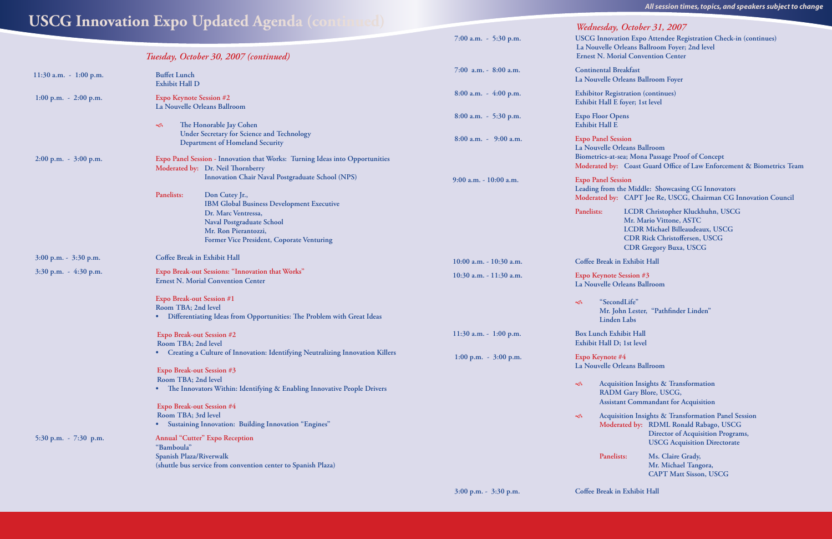*Tuesday, October 30, 2007 (continued)*

| ':00 a.m. |  | $5:30$ p.m. |
|-----------|--|-------------|
|           |  |             |

| <b>USCG</b> Inno |  |
|------------------|--|
| La Nouvelle      |  |
| Ernest N. M      |  |

*All session times, topics, and speakers subject to change*

**11:30 a.m. - 1:00 p.m. Buffet Lunch**

 **Exhibit Hall D** 

 **1:00 p.m. - 2:00 p.m. Expo Keynote Session #2**

### **USCG Innovation Expo Updated Agenda (continued)**

 **La Nouvelle Orleans Ballroom**

 **The Honorable Jay Cohen**

 **Under Secretary for Science and Technology**

**Department of Homeland Security**

 **2:00 p.m. - 3:00 p.m. Expo Panel Session - Innovation that Works: Turning Ideas into Opportunities Moderated by: Dr. Neil Thornberry**

Panelists: Don Cutey Jr.,

 **Innovation Chair Naval Postgraduate School (NPS)**

 **IBM Global Business Development Executive** 

 **Dr. Marc Ventressa,** 

 **Naval Postgraduate School Mr. Ron Pierantozzi,** 

 **7:00 a.m. - 5:30 p.m. USCG Innovation Expo Attendee Registration Check-in (continues) Orleans Ballroom Foyer; 2nd level Iorial Convention Center** 

> **nelists:** Ms. Claire Grady,  **Mr. Michael Tangora, CAPT Matt Sisson, USCG**

|                           | <b>Former Vice President, Coporate Venturing</b>                                                                                                |                         |                                                             |
|---------------------------|-------------------------------------------------------------------------------------------------------------------------------------------------|-------------------------|-------------------------------------------------------------|
| $3:00$ p.m. - $3:30$ p.m. | Coffee Break in Exhibit Hall                                                                                                                    | 10:00 a.m. - 10:30 a.m. | Coffee Break in E                                           |
| $3:30$ p.m. $-4:30$ p.m.  | Expo Break-out Sessions: "Innovation that Works"<br><b>Ernest N. Morial Convention Center</b>                                                   | 10:30 a.m. - 11:30 a.m. | <b>Expo Keynote Ses</b><br>La Nouvelle Orlea                |
|                           | <b>Expo Break-out Session #1</b><br>Room TBA; 2nd level<br>Differentiating Ideas from Opportunities: The Problem with Great Ideas               |                         | "SecondL<br>$\infty$<br>Mr. John<br>Linden La               |
|                           | <b>Expo Break-out Session #2</b><br>Room TBA; 2nd level                                                                                         | 11:30 a.m. - 1:00 p.m.  | <b>Box Lunch Exhibi</b><br>Exhibit Hall D; 1                |
|                           | Creating a Culture of Innovation: Identifying Neutralizing Innovation Killers<br>Expo Break-out Session #3                                      | 1:00 p.m. $-3:00$ p.m.  | Expo Keynote #4<br>La Nouvelle Orlea                        |
|                           | Room TBA; 2nd level<br>The Innovators Within: Identifying & Enabling Innovative People Drivers<br>$\bullet$                                     |                         | Acquisitio<br>$\infty$<br><b>RADM C</b><br><b>Assistant</b> |
|                           | <b>Expo Break-out Session #4</b><br>Room TBA; 3rd level<br><b>Sustaining Innovation: Building Innovation "Engines"</b><br>$\bullet$             |                         | Acquisitio<br>$\ll$<br>Moderate                             |
| 5:30 p.m. $-7:30$ p.m.    | <b>Annual "Cutter" Expo Reception</b><br>"Bamboula"<br>Spanish Plaza/Riverwalk<br>(shuttle bus service from convention center to Spanish Plaza) |                         | Panelists:                                                  |

 **7:00 a.m. - 8:00 a.m. Continental Breakfast La Nouvelle Orleans Ballroom Foyer**

 **8:00 a.m. - 4:00 p.m. Exhibitor Registration (continues) Exhibit Hall E foyer; 1st level**

 **8:00 a.m. - 5:30 p.m. Expo Floor Opens Exhibit Hall E**

 **8:00 a.m. - 9:00 a.m. Expo Panel Session La Nouvelle Orleans Ballroom Biometrics-at-sea; Mona Passage Proof of Concept Moderated by: Coast Guard Office of Law Enforcement & Biometrics Team**

**9:00 a.m. - 10:00 a.m. Expo Panel Session Leading from the Middle: Showcasing CG Innovators Moderated by: CAPT Joe Re, USCG, Chairman CG Innovation Council**

**Panelists: LCDR Christopher Kluckhuhn, USCG Mr. Mario Vittone, ASTC LCDR Michael Billeaudeaux, USCG CDR Rick Christoffersen, USCG CDR Gregory Buxa, USCG**

ak in Exhibit Hall

**10te Session #3 le Orleans Ballroom** 

 **"SecondLife" Mr. John Lester, "Pathfinder Linden" Linden Labs**

**1 Exhibit Hall Ill D**: 1st level

**e Orleans Ballroom** 

 **Acquisition Insights & Transformation RADM Gary Blore, USCG, Assistant Commandant for Acquisition**

 **Acquisition Insights & Transformation Panel Session Moderated by: RDML Ronald Rabago, USCG Director of Acquisition Programs, USCG Acquisition Directorate**

*Wednesday, October 31, 2007*